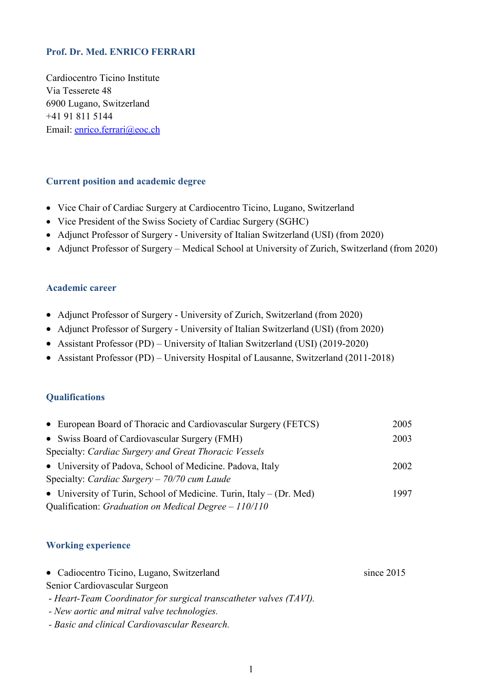# **Prof. Dr. Med. ENRICO FERRARI**

Cardiocentro Ticino Institute Via Tesserete 48 6900 Lugano, Switzerland +41 91 811 5144 Email: [enrico.ferrari@eoc.ch](mailto:enrico.ferrari@eoc.ch)

# **Current position and academic degree**

- Vice Chair of Cardiac Surgery at Cardiocentro Ticino, Lugano, Switzerland
- Vice President of the Swiss Society of Cardiac Surgery (SGHC)
- Adjunct Professor of Surgery University of Italian Switzerland (USI) (from 2020)
- Adjunct Professor of Surgery Medical School at University of Zurich, Switzerland (from 2020)

### **Academic career**

- Adjunct Professor of Surgery University of Zurich, Switzerland (from 2020)
- Adjunct Professor of Surgery University of Italian Switzerland (USI) (from 2020)
- Assistant Professor (PD) University of Italian Switzerland (USI) (2019-2020)
- Assistant Professor (PD) University Hospital of Lausanne, Switzerland (2011-2018)

# **Qualifications**

| • European Board of Thoracic and Cardiovascular Surgery (FETCS)       | 2005 |
|-----------------------------------------------------------------------|------|
| • Swiss Board of Cardiovascular Surgery (FMH)                         | 2003 |
| Specialty: Cardiac Surgery and Great Thoracic Vessels                 |      |
| • University of Padova, School of Medicine. Padova, Italy             | 2002 |
| Specialty: Cardiac Surgery $-70/70$ cum Laude                         |      |
| • University of Turin, School of Medicine. Turin, Italy $-$ (Dr. Med) | 1997 |
| Qualification: Graduation on Medical Degree $-110/110$                |      |

# **Working experience**

| • Cadiocentro Ticino, Lugano, Switzerland                          | since $2015$ |
|--------------------------------------------------------------------|--------------|
| Senior Cardiovascular Surgeon                                      |              |
| - Heart-Team Coordinator for surgical transcatheter valves (TAVI). |              |

- *- New aortic and mitral valve technologies.*
- *- Basic and clinical Cardiovascular Research.*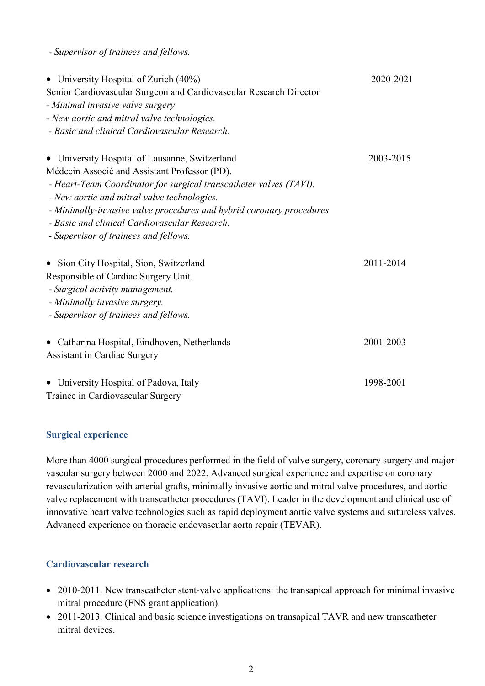*- Supervisor of trainees and fellows.*

| • University Hospital of Zurich (40%)                                | 2020-2021 |
|----------------------------------------------------------------------|-----------|
| Senior Cardiovascular Surgeon and Cardiovascular Research Director   |           |
| - Minimal invasive valve surgery                                     |           |
| - New aortic and mitral valve technologies.                          |           |
| - Basic and clinical Cardiovascular Research.                        |           |
| • University Hospital of Lausanne, Switzerland                       | 2003-2015 |
| Médecin Associé and Assistant Professor (PD).                        |           |
| - Heart-Team Coordinator for surgical transcatheter valves (TAVI).   |           |
| - New aortic and mitral valve technologies.                          |           |
| - Minimally-invasive valve procedures and hybrid coronary procedures |           |
| - Basic and clinical Cardiovascular Research.                        |           |
| - Supervisor of trainees and fellows.                                |           |
| • Sion City Hospital, Sion, Switzerland                              | 2011-2014 |
| Responsible of Cardiac Surgery Unit.                                 |           |
| - Surgical activity management.                                      |           |
| - Minimally invasive surgery.                                        |           |
| - Supervisor of trainees and fellows.                                |           |
| • Catharina Hospital, Eindhoven, Netherlands                         | 2001-2003 |
| <b>Assistant in Cardiac Surgery</b>                                  |           |
| • University Hospital of Padova, Italy                               | 1998-2001 |
| Trainee in Cardiovascular Surgery                                    |           |

#### **Surgical experience**

More than 4000 surgical procedures performed in the field of valve surgery, coronary surgery and major vascular surgery between 2000 and 2022. Advanced surgical experience and expertise on coronary revascularization with arterial grafts, minimally invasive aortic and mitral valve procedures, and aortic valve replacement with transcatheter procedures (TAVI). Leader in the development and clinical use of innovative heart valve technologies such as rapid deployment aortic valve systems and sutureless valves. Advanced experience on thoracic endovascular aorta repair (TEVAR).

#### **Cardiovascular research**

- 2010-2011. New transcatheter stent-valve applications: the transapical approach for minimal invasive mitral procedure (FNS grant application).
- 2011-2013. Clinical and basic science investigations on transapical TAVR and new transcatheter mitral devices.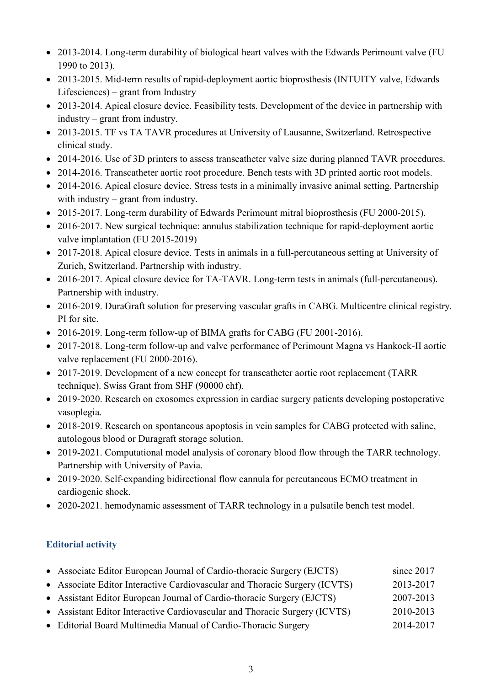- 2013-2014. Long-term durability of biological heart valves with the Edwards Perimount valve (FU 1990 to 2013).
- 2013-2015. Mid-term results of rapid-deployment aortic bioprosthesis (INTUITY valve, Edwards Lifesciences) – grant from Industry
- 2013-2014. Apical closure device. Feasibility tests. Development of the device in partnership with industry – grant from industry.
- 2013-2015. TF vs TA TAVR procedures at University of Lausanne, Switzerland. Retrospective clinical study.
- 2014-2016. Use of 3D printers to assess transcatheter valve size during planned TAVR procedures.
- 2014-2016. Transcatheter aortic root procedure. Bench tests with 3D printed aortic root models.
- 2014-2016. Apical closure device. Stress tests in a minimally invasive animal setting. Partnership with industry – grant from industry.
- 2015-2017. Long-term durability of Edwards Perimount mitral bioprosthesis (FU 2000-2015).
- 2016-2017. New surgical technique: annulus stabilization technique for rapid-deployment aortic valve implantation (FU 2015-2019)
- 2017-2018. Apical closure device. Tests in animals in a full-percutaneous setting at University of Zurich, Switzerland. Partnership with industry.
- 2016-2017. Apical closure device for TA-TAVR. Long-term tests in animals (full-percutaneous). Partnership with industry.
- 2016-2019. DuraGraft solution for preserving vascular grafts in CABG. Multicentre clinical registry. PI for site.
- 2016-2019. Long-term follow-up of BIMA grafts for CABG (FU 2001-2016).
- 2017-2018. Long-term follow-up and valve performance of Perimount Magna vs Hankock-II aortic valve replacement (FU 2000-2016).
- 2017-2019. Development of a new concept for transcatheter aortic root replacement (TARR) technique). Swiss Grant from SHF (90000 chf).
- 2019-2020. Research on exosomes expression in cardiac surgery patients developing postoperative vasoplegia.
- 2018-2019. Research on spontaneous apoptosis in vein samples for CABG protected with saline, autologous blood or Duragraft storage solution.
- 2019-2021. Computational model analysis of coronary blood flow through the TARR technology. Partnership with University of Pavia.
- 2019-2020. Self-expanding bidirectional flow cannula for percutaneous ECMO treatment in cardiogenic shock.
- 2020-2021. hemodynamic assessment of TARR technology in a pulsatile bench test model.

# **Editorial activity**

| • Associate Editor European Journal of Cardio-thoracic Surgery (EJCTS)     | since 2017 |
|----------------------------------------------------------------------------|------------|
| • Associate Editor Interactive Cardiovascular and Thoracic Surgery (ICVTS) | 2013-2017  |
| • Assistant Editor European Journal of Cardio-thoracic Surgery (EJCTS)     | 2007-2013  |
| • Assistant Editor Interactive Cardiovascular and Thoracic Surgery (ICVTS) | 2010-2013  |
| • Editorial Board Multimedia Manual of Cardio-Thoracic Surgery             | 2014-2017  |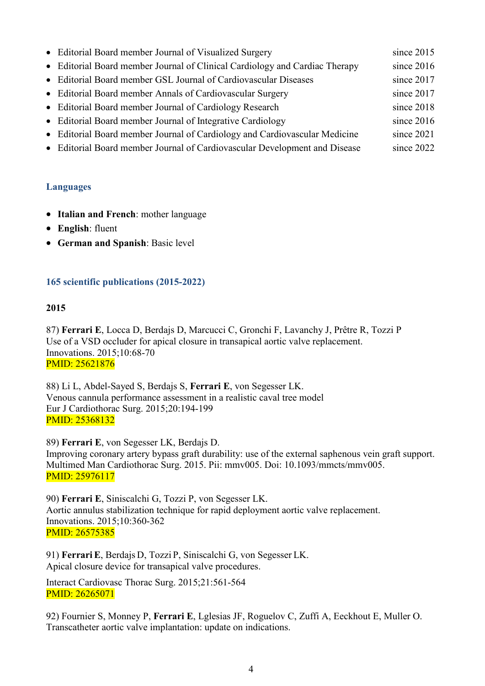| • Editorial Board member Journal of Visualized Surgery                      | since $2015$ |
|-----------------------------------------------------------------------------|--------------|
| • Editorial Board member Journal of Clinical Cardiology and Cardiac Therapy | since 2016   |
| • Editorial Board member GSL Journal of Cardiovascular Diseases             | since 2017   |
| • Editorial Board member Annals of Cardiovascular Surgery                   | since 2017   |
| • Editorial Board member Journal of Cardiology Research                     | since 2018   |
| • Editorial Board member Journal of Integrative Cardiology                  | since $2016$ |
| • Editorial Board member Journal of Cardiology and Cardiovascular Medicine  | since 2021   |
| • Editorial Board member Journal of Cardiovascular Development and Disease  | since 2022   |

# **Languages**

- **Italian and French**: mother language
- **English**: fluent
- **German and Spanish**: Basic level

# **165 scientific publications (2015-2022)**

# **2015**

87) **Ferrari E**, Locca D, Berdajs D, Marcucci C, Gronchi F, Lavanchy J, Prêtre R, Tozzi P Use of a VSD occluder for apical closure in transapical aortic valve replacement. Innovations. 2015;10:68-70 PMID: 25621876

88) Li L, Abdel-Sayed S, Berdajs S, **Ferrari E**, von Segesser LK. Venous cannula performance assessment in a realistic caval tree model Eur J Cardiothorac Surg. 2015;20:194-199 PMID: 25368132

89) **Ferrari E**, von Segesser LK, Berdajs D. Improving coronary artery bypass graft durability: use of the external saphenous vein graft support. Multimed Man Cardiothorac Surg. 2015. Pii: mmv005. Doi: 10.1093/mmcts/mmv005. PMID: 25976117

90) **Ferrari E**, Siniscalchi G, Tozzi P, von Segesser LK. Aortic annulus stabilization technique for rapid deployment aortic valve replacement. Innovations. 2015;10:360-362 PMID: 26575385

91) **Ferrari E**, Berdajs D, Tozzi P, Siniscalchi G, von Segesser LK. Apical closure device for transapical valve procedures.

Interact Cardiovasc Thorac Surg. 2015;21:561-564 PMID: 26265071

92) Fournier S, Monney P, **Ferrari E**, Lglesias JF, Roguelov C, Zuffi A, Eeckhout E, Muller O. Transcatheter aortic valve implantation: update on indications.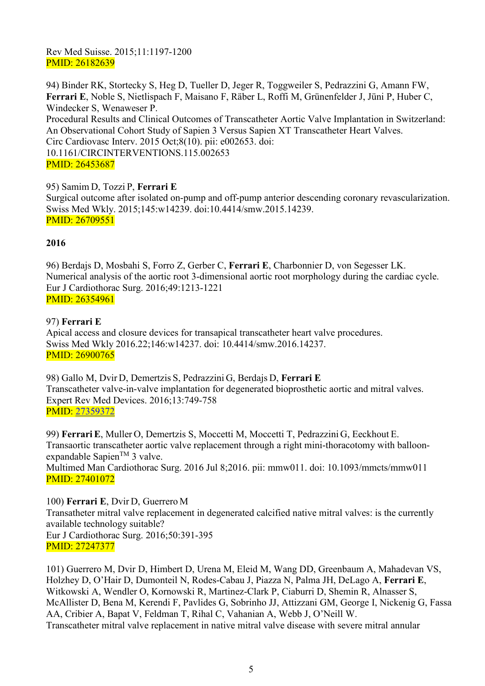# Rev Med Suisse. 2015;11:1197-1200 PMID: 26182639

94) Binder RK, Stortecky S, Heg D, Tueller D, Jeger R, Toggweiler S, Pedrazzini G, Amann FW, **Ferrari E**, Noble S, Nietlispach F, Maisano F, Räber L, Roffi M, Grünenfelder J, Jüni P, Huber C, Windecker S, Wenaweser P. [Procedural Results and Clinical Outcomes of Transcatheter Aortic Valve Implantation in Switzerland:](https://www.ncbi.nlm.nih.gov/pubmed/26453687)  [An Observational Cohort Study of Sapien 3 Versus Sapien XT Transcatheter Heart Valves.](https://www.ncbi.nlm.nih.gov/pubmed/26453687) Circ Cardiovasc Interv. 2015 Oct;8(10). pii: e002653. doi: 10.1161/CIRCINTERVENTIONS.115.002653 PMID: 26453687

# 95) Samim D, Tozzi P, **Ferrari E**

Surgical outcome after isolated on-pump and off-pump anterior descending coronary revascularization. Swiss Med Wkly. 2015;145:w14239. doi:10.4414/smw.2015.14239. PMID: 26709551

# **2016**

96) Berdajs D, Mosbahi S, Forro Z, Gerber C, **Ferrari E**, Charbonnier D, von Segesser LK. Numerical analysis of the aortic root 3-dimensional aortic root morphology during the cardiac cycle. Eur J Cardiothorac Surg. 2016;49:1213-1221 PMID: 26354961

# 97) **Ferrari E**

Apical access and closure devices for transapical transcatheter heart valve procedures. Swiss Med Wkly 2016.22;146:w14237. doi: 10.4414/smw.2016.14237. PMID: 26900765

98) Gallo M, Dvir D, Demertzis S, Pedrazzini G, Berdajs D, **Ferrari E** Transcatheter valve-in-valve implantation for degenerated bioprosthetic aortic and mitral valves. Expert Rev Med Devices. 2016;13:749-758 PMID: [27359372](http://www.ncbi.nlm.nih.gov/pubmed/27359372)

99) **Ferrari E**, Muller O, Demertzis S, Moccetti M, Moccetti T, Pedrazzini G, Eeckhout E. Transaortic transcatheter aortic valve replacement through a right mini-thoracotomy with balloonexpandable Sapien<sup>TM</sup> 3 valve. Multimed Man Cardiothorac Surg. 2016 Jul 8;2016. pii: mmw011. doi: 10.1093/mmcts/mmw011 PMID: 27401072

# 100) **Ferrari E**, Dvir D, Guerrero M

Transatheter mitral valve replacement in degenerated calcified native mitral valves: is the currently available technology suitable? Eur J Cardiothorac Surg. 2016;50:391-395 PMID: 27247377

101) Guerrero M, Dvir D, Himbert D, Urena M, Eleid M, Wang DD, Greenbaum A, Mahadevan VS, Holzhey D, O'Hair D, Dumonteil N, Rodes-Cabau J, Piazza N, Palma JH, DeLago A, **Ferrari E**, Witkowski A, Wendler O, Kornowski R, Martinez-Clark P, Ciaburri D, Shemin R, Alnasser S, McAllister D, Bena M, Kerendi F, Pavlides G, Sobrinho JJ, Attizzani GM, George I, Nickenig G, Fassa AA, Cribier A, Bapat V, Feldman T, Rihal C, Vahanian A, Webb J, O'Neill W. Transcatheter mitral valve replacement in native mitral valve disease with severe mitral annular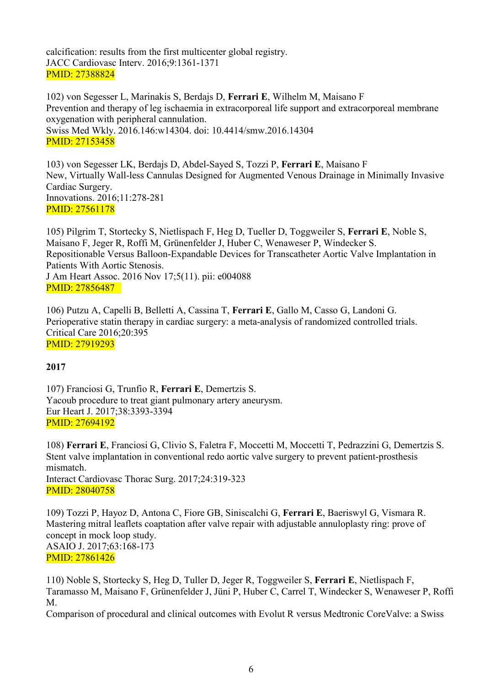calcification: results from the first multicenter global registry. JACC Cardiovasc Interv. 2016;9:1361-1371 PMID: 27388824

102) von Segesser L, Marinakis S, Berdajs D, **Ferrari E**, Wilhelm M, Maisano F Prevention and therapy of leg ischaemia in extracorporeal life support and extracorporeal membrane oxygenation with peripheral cannulation. Swiss Med Wkly. 2016.146:w14304. doi: 10.4414/smw.2016.14304 PMID: 27153458

103) von Segesser LK, Berdajs D, Abdel-Sayed S, Tozzi P, **Ferrari E**, Maisano F New, Virtually Wall-less Cannulas Designed for Augmented Venous Drainage in Minimally Invasive Cardiac Surgery. Innovations. 2016;11:278-281 PMID: 27561178

105) Pilgrim T, Stortecky S, Nietlispach F, Heg D, Tueller D, Toggweiler S, **Ferrari E**, Noble S, Maisano F, Jeger R, Roffi M, Grünenfelder J, Huber C, Wenaweser P, Windecker S. Repositionable Versus Balloon-Expandable Devices for Transcatheter Aortic Valve Implantation in Patients With Aortic Stenosis. J Am Heart Assoc. 2016 Nov 17;5(11). pii: e004088 PMID: 27856487

106) Putzu A, Capelli B, Belletti A, Cassina T, **Ferrari E**, Gallo M, Casso G, Landoni G. Perioperative statin therapy in cardiac surgery: a meta-analysis of randomized controlled trials. Critical Care 2016;20:395 PMID: 27919293

# **2017**

107) Franciosi G, Trunfio R, **Ferrari E**, Demertzis S. Yacoub procedure to treat giant pulmonary artery aneurysm. Eur Heart J. 2017;38:3393-3394 PMID: 27694192

108) **Ferrari E**, Franciosi G, Clivio S, Faletra F, Moccetti M, Moccetti T, Pedrazzini G, Demertzis S. Stent valve implantation in conventional redo aortic valve surgery to prevent patient-prosthesis mismatch. Interact Cardiovasc Thorac Surg. 2017;24:319-323 PMID: 28040758

109) Tozzi P, Hayoz D, Antona C, Fiore GB, Siniscalchi G, **Ferrari E**, Baeriswyl G, Vismara R. Mastering mitral leaflets coaptation after valve repair with adjustable annuloplasty ring: prove of concept in mock loop study. ASAIO J. 2017;63:168-173 PMID: 27861426

110) Noble S, Stortecky S, Heg D, Tuller D, Jeger R, Toggweiler S, **Ferrari E**, Nietlispach F, Taramasso M, Maisano F, Grünenfelder J, Jüni P, Huber C, Carrel T, Windecker S, Wenaweser P, Roffi M.

Comparison of procedural and clinical outcomes with Evolut R versus Medtronic CoreValve: a Swiss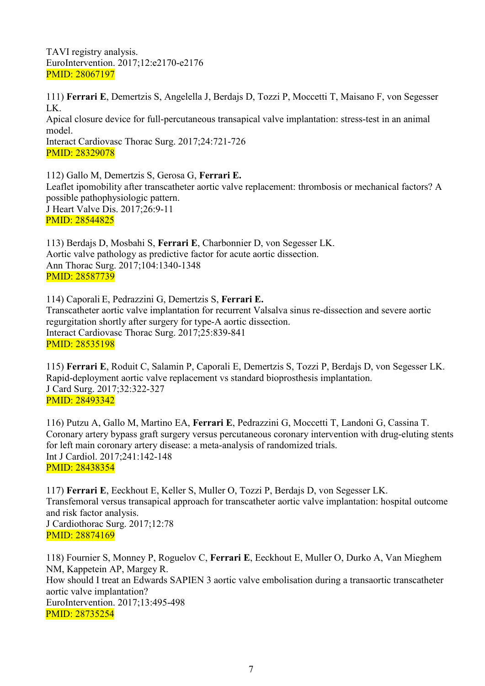TAVI registry analysis. EuroIntervention. 2017;12:e2170-e2176 PMID: 28067197

111) **Ferrari E**, Demertzis S, Angelella J, Berdajs D, Tozzi P, Moccetti T, Maisano F, von Segesser LK. Apical closure device for full-percutaneous transapical valve implantation: stress-test in an animal model. Interact Cardiovasc Thorac Surg. 2017;24:721-726 PMID: 28329078

112) Gallo M, Demertzis S, Gerosa G, **Ferrari E.** Leaflet ipomobility after transcatheter aortic valve replacement: thrombosis or mechanical factors? A possible pathophysiologic pattern. J Heart Valve Dis. 2017;26:9-11 PMID: 28544825

113) Berdajs D, Mosbahi S, **Ferrari E**, Charbonnier D, von Segesser LK. Aortic valve pathology as predictive factor for acute aortic dissection. Ann Thorac Surg. 2017;104:1340-1348 PMID: 28587739

114) Caporali E, Pedrazzini G, Demertzis S, **Ferrari E.** Transcatheter aortic valve implantation for recurrent Valsalva sinus re-dissection and severe aortic regurgitation shortly after surgery for type-A aortic dissection. Interact Cardiovasc Thorac Surg. 2017;25:839-841 PMID: 28535198

115) **Ferrari E**, Roduit C, Salamin P, Caporali E, Demertzis S, Tozzi P, Berdajs D, von Segesser LK. Rapid-deployment aortic valve replacement vs standard bioprosthesis implantation. J Card Surg. 2017;32:322-327 PMID: 28493342

116) Putzu A, Gallo M, Martino EA, **Ferrari E**, Pedrazzini G, Moccetti T, Landoni G, Cassina T. Coronary artery bypass graft surgery versus percutaneous coronary intervention with drug-eluting stents for left main coronary artery disease: a meta-analysis of randomized trials. Int J Cardiol. 2017;241:142-148 PMID: 28438354

117) **Ferrari E**, Eeckhout E, Keller S, Muller O, Tozzi P, Berdajs D, von Segesser LK. Transfemoral versus transapical approach for transcatheter aortic valve implantation: hospital outcome and risk factor analysis. J Cardiothorac Surg. 2017;12:78 PMID: 28874169

118) Fournier S, Monney P, Roguelov C, **Ferrari E**, Eeckhout E, Muller O, Durko A, Van Mieghem NM, Kappetein AP, Margey R. How should I treat an Edwards SAPIEN 3 aortic valve embolisation during a transaortic transcatheter aortic valve implantation? EuroIntervention. 2017;13:495-498 PMID: 28735254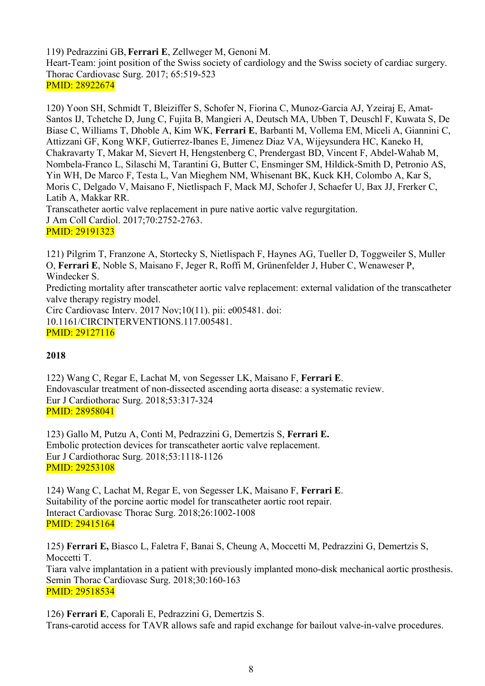119) Pedrazzini GB, **Ferrari E**, Zellweger M, Genoni M. Heart-Team: joint position of the Swiss society of cardiology and the Swiss society of cardiac surgery. Thorac Cardiovasc Surg. 2017; 65:519-523 PMID: 28922674

120) Yoon SH, Schmidt T, Bleiziffer S, Schofer N, Fiorina C, Munoz-Garcia AJ, Yzeiraj E, Amat-Santos IJ, Tchetche D, Jung C, Fujita B, Mangieri A, Deutsch MA, Ubben T, Deuschl F, Kuwata S, De Biase C, Williams T, Dhoble A, Kim WK, **Ferrari E**, Barbanti M, Vollema EM, Miceli A, Giannini C, Attizzani GF, Kong WKF, Gutierrez-Ibanes E, Jimenez Diaz VA, Wijeysundera HC, Kaneko H, Chakravarty T, Makar M, Sievert H, Hengstenberg C, Prendergast BD, Vincent F, Abdel-Wahab M, Nombela-Franco L, Silaschi M, Tarantini G, Butter C, Ensminger SM, Hildick-Smith D, Petronio AS, Yin WH, De Marco F, Testa L, Van Mieghem NM, Whisenant BK, Kuck KH, Colombo A, Kar S, Moris C, Delgado V, Maisano F, Nietlispach F, Mack MJ, Schofer J, Schaefer U, Bax JJ, Frerker C, Latib A, Makkar RR. Transcatheter aortic valve replacement in pure native aortic valve regurgitation. J Am Coll Cardiol. 2017;70:2752-2763.

PMID: 29191323

121) Pilgrim T, Franzone A, Stortecky S, Nietlispach F, Haynes AG, Tueller D, Toggweiler S, Muller O, **Ferrari E**, Noble S, Maisano F, Jeger R, Roffi M, Grünenfelder J, Huber C, Wenaweser P, Windecker S. Predicting mortality after transcatheter aortic valve replacement: external validation of the transcatheter valve therapy registry model. Circ Cardiovasc Interv. 2017 Nov;10(11). pii: e005481. doi: 10.1161/CIRCINTERVENTIONS.117.005481. PMID: 29127116

# **2018**

122) Wang C, Regar E, Lachat M, von Segesser LK, Maisano F, **Ferrari E**. Endovascular treatment of non-dissected ascending aorta disease: a systematic review. Eur J Cardiothorac Surg. 2018;53:317-324 PMID: 28958041

123) Gallo M, Putzu A, Conti M, Pedrazzini G, Demertzis S, **Ferrari E.** Embolic protection devices for transcatheter aortic valve replacement. Eur J Cardiothorac Surg. 2018;53:1118-1126 PMID: 29253108

124) Wang C, Lachat M, Regar E, von Segesser LK, Maisano F, **Ferrari E**. Suitability of the porcine aortic model for transcatheter aortic root repair. Interact Cardiovasc Thorac Surg. 2018;26:1002-1008 PMID: 29415164

125) **Ferrari E,** Biasco L, Faletra F, Banai S, Cheung A, Moccetti M, Pedrazzini G, Demertzis S, Moccetti T. Tiara valve implantation in a patient with previously implanted mono-disk mechanical aortic prosthesis. Semin Thorac Cardiovasc Surg. 2018;30:160-163 PMID: 29518534

126) **Ferrari E**, Caporali E, Pedrazzini G, Demertzis S. Trans-carotid access for TAVR allows safe and rapid exchange for bailout valve-in-valve procedures.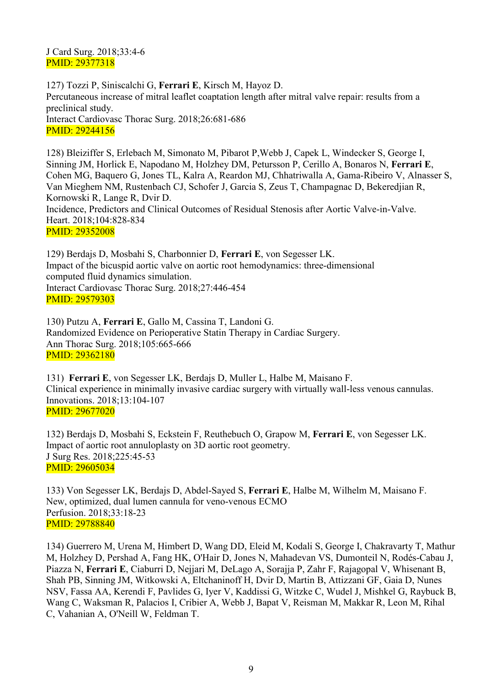J Card Surg. 2018;33:4-6 PMID: 29377318

127) Tozzi P, Siniscalchi G, **Ferrari E**, Kirsch M, Hayoz D. Percutaneous increase of mitral leaflet coaptation length after mitral valve repair: results from a preclinical study. Interact Cardiovasc Thorac Surg. 2018;26:681-686 PMID: 29244156

128) Bleiziffer S, Erlebach M, Simonato M, Pibarot P,Webb J, Capek L, Windecker S, George I, Sinning JM, Horlick E, Napodano M, Holzhey DM, Petursson P, Cerillo A, Bonaros N, **Ferrari E**, Cohen MG, Baquero G, Jones TL, Kalra A, Reardon MJ, Chhatriwalla A, Gama-Ribeiro V, Alnasser S, Van Mieghem NM, Rustenbach CJ, Schofer J, Garcia S, Zeus T, Champagnac D, Bekeredjian R, Kornowski R, Lange R, Dvir D. Incidence, Predictors and Clinical Outcomes of Residual Stenosis after Aortic Valve-in-Valve. Heart. 2018;104:828-834 PMID: 29352008

129) Berdajs D, Mosbahi S, Charbonnier D, **Ferrari E**, von Segesser LK. Impact of the bicuspid aortic valve on aortic root hemodynamics: three-dimensional computed fluid dynamics simulation. Interact Cardiovasc Thorac Surg. 2018;27:446-454 PMID: 29579303

130) Putzu A, **Ferrari E**, Gallo M, Cassina T, Landoni G. Randomized Evidence on Perioperative Statin Therapy in Cardiac Surgery. Ann Thorac Surg. 2018;105:665-666 PMID: 29362180

131) **Ferrari E**, von Segesser LK, Berdajs D, Muller L, Halbe M, Maisano F. Clinical experience in minimally invasive cardiac surgery with virtually wall-less venous cannulas. Innovations. 2018;13:104-107 PMID: 29677020

132) Berdajs D, Mosbahi S, Eckstein F, Reuthebuch O, Grapow M, **Ferrari E**, von Segesser LK. Impact of aortic root annuloplasty on 3D aortic root geometry. J Surg Res. 2018;225:45-53 PMID: 29605034

133) Von Segesser LK, Berdajs D, Abdel-Sayed S, **Ferrari E**, Halbe M, Wilhelm M, Maisano F. New, optimized, dual lumen cannula for veno-venous ECMO Perfusion. 2018;33:18-23 PMID: 29788840

134) Guerrero M, Urena M, Himbert D, Wang DD, Eleid M, Kodali S, George I, Chakravarty T, Mathur M, Holzhey D, Pershad A, Fang HK, O'Hair D, Jones N, Mahadevan VS, Dumonteil N, Rodés-Cabau J, Piazza N, **Ferrari E**, Ciaburri D, Nejjari M, DeLago A, Sorajja P, Zahr F, Rajagopal V, Whisenant B, Shah PB, Sinning JM, Witkowski A, Eltchaninoff H, Dvir D, Martin B, Attizzani GF, Gaia D, Nunes NSV, Fassa AA, Kerendi F, Pavlides G, Iyer V, Kaddissi G, Witzke C, Wudel J, Mishkel G, Raybuck B, Wang C, Waksman R, Palacios I, Cribier A, Webb J, Bapat V, Reisman M, Makkar R, Leon M, Rihal C, Vahanian A, O'Neill W, Feldman T.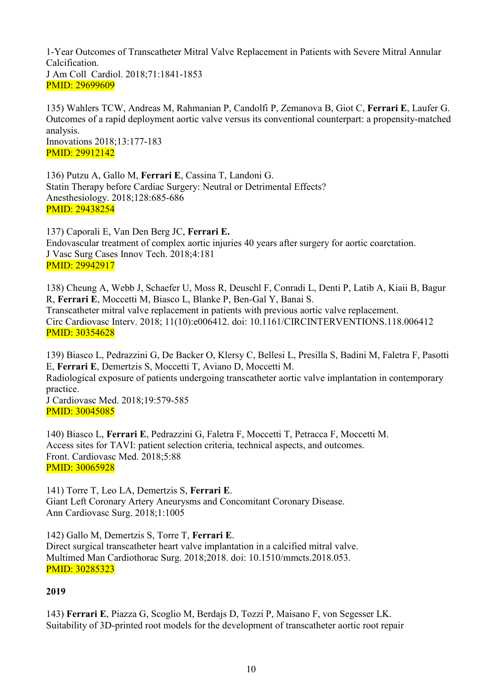1-Year Outcomes of Transcatheter Mitral Valve Replacement in Patients with Severe Mitral Annular Calcification. J Am Coll Cardiol. 2018;71:1841-1853 PMID: 29699609

135) Wahlers TCW, Andreas M, Rahmanian P, Candolfi P, Zemanova B, Giot C, **Ferrari E**, Laufer G. Outcomes of a rapid deployment aortic valve versus its conventional counterpart: a propensity-matched analysis. Innovations 2018;13:177-183 PMID: 29912142

136) Putzu A, Gallo M, **Ferrari E**, Cassina T, Landoni G. Statin Therapy before Cardiac Surgery: Neutral or Detrimental Effects? Anesthesiology. 2018;128:685-686 PMID: 29438254

137) Caporali E, Van Den Berg JC, **Ferrari E.** Endovascular treatment of complex aortic injuries 40 years after surgery for aortic coarctation. J Vasc Surg Cases Innov Tech. 2018;4:181 PMID: 29942917

138) Cheung A, Webb J, Schaefer U, Moss R, Deuschl F, Conradi L, Denti P, Latib A, Kiaii B, Bagur R, **Ferrari E**, Moccetti M, Biasco L, Blanke P, Ben-Gal Y, Banai S. Transcatheter mitral valve replacement in patients with previous aortic valve replacement. Circ Cardiovasc Interv. 2018; 11(10):e006412. doi: 10.1161/CIRCINTERVENTIONS.118.006412 PMID: 30354628

139) Biasco L, Pedrazzini G, De Backer O, Klersy C, Bellesi L, Presilla S, Badini M, Faletra F, Pasotti E, **Ferrari E**, Demertzis S, Moccetti T, Aviano D, Moccetti M.

Radiological exposure of patients undergoing transcatheter aortic valve implantation in contemporary practice.

J Cardiovasc Med. 2018;19:579-585 PMID: 30045085

140) Biasco L, **Ferrari E**, Pedrazzini G, Faletra F, Moccetti T, Petracca F, Moccetti M. Access sites for TAVI: patient selection criteria, technical aspects, and outcomes. Front. Cardiovasc Med. 2018;5:88 PMID: 30065928

141) Torre T, Leo LA, Demertzis S, **Ferrari E**. Giant Left Coronary Artery Aneurysms and Concomitant Coronary Disease. Ann Cardiovasc Surg. 2018;1:1005

142) Gallo M, Demertzis S, Torre T, **Ferrari E**. Direct surgical transcatheter heart valve implantation in a calcified mitral valve. Multimed Man Cardiothorac Surg. 2018;2018. doi: 10.1510/mmcts.2018.053. PMID: 30285323

# **2019**

143) **Ferrari E**, Piazza G, Scoglio M, Berdajs D, Tozzi P, Maisano F, von Segesser LK. Suitability of 3D-printed root models for the development of transcatheter aortic root repair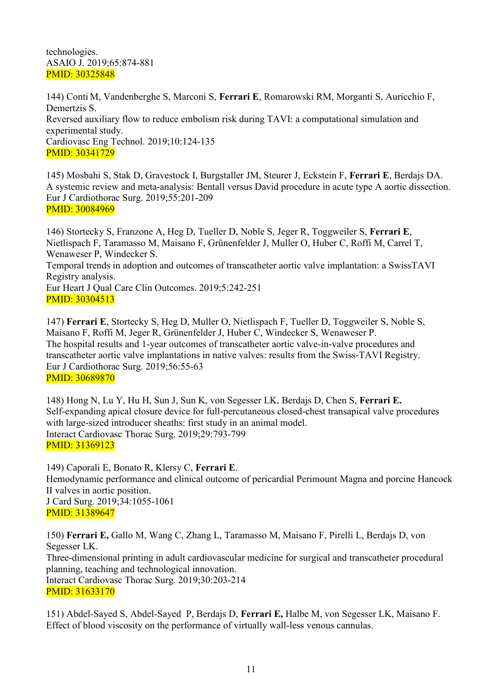#### technologies. ASAIO J. 2019;65:874-881 PMID: 30325848

144) Conti M, Vandenberghe S, Marconi S, **Ferrari E**, Romarowski RM, Morganti S, Auricchio F, Demertzis S. Reversed auxiliary flow to reduce embolism risk during TAVI: a computational simulation and experimental study. Cardiovasc Eng Technol. 2019;10:124-135 PMID: 30341729

145) Mosbahi S, Stak D, Gravestock I, Burgstaller JM, Steurer J, Eckstein F, **Ferrari E**, Berdajs DA. A systemic review and meta-analysis: Bentall versus David procedure in acute type A aortic dissection. Eur J Cardiothorac Surg. 2019;55:201-209 PMID: 30084969

146) Stortecky S, Franzone A, Heg D, Tueller D, Noble S, Jeger R, Toggweiler S, **Ferrari E**, Nietlispach F, Taramasso M, Maisano F, Grünenfelder J, Muller O, Huber C, Roffi M, Carrel T, Wenaweser P, Windecker S. Temporal trends in adoption and outcomes of transcatheter aortic valve implantation: a SwissTAVI Registry analysis. Eur Heart J Qual Care Clin Outcomes. 2019;5:242-251 PMID: 30304513

147) **Ferrari E**, Stortecky S, Heg D, Muller O, Nietlispach F, Tueller D, Toggweiler S, Noble S, Maisano F, Roffi M, Jeger R, Grünenfelder J, Huber C, Windecker S, Wenaweser P. The hospital results and 1-year outcomes of transcatheter aortic valve-in-valve procedures and transcatheter aortic valve implantations in native valves: results from the Swiss-TAVI Registry. Eur J Cardiothorac Surg. 2019;56:55-63 PMID: 30689870

148) Hong N, Lu Y, Hu H, Sun J, Sun K, von Segesser LK, Berdajs D, Chen S, **Ferrari E.** Self-expanding apical closure device for full-percutaneous closed-chest transapical valve procedures with large-sized introducer sheaths: first study in an animal model. Interact Cardiovasc Thorac Surg. 2019;29:793-799 PMID: 31369123

149) Caporali E, Bonato R, Klersy C, **Ferrari E**. Hemodynamic performance and clinical outcome of pericardial Perimount Magna and porcine Hancock II valves in aortic position. J Card Surg. 2019;34:1055-1061 PMID: 31389647

150) **Ferrari E,** Gallo M, Wang C, Zhang L, Taramasso M, Maisano F, Pirelli L, Berdajs D, von Segesser LK. Three-dimensional printing in adult cardiovascular medicine for surgical and transcatheter procedural planning, teaching and technological innovation. Interact Cardiovasc Thorac Surg. 2019;30:203-214 PMID: 31633170

151) Abdel-Sayed S, Abdel-Sayed P, Berdajs D, **Ferrari E,** Halbe M, von Segesser LK, Maisano F. Effect of blood viscosity on the performance of virtually wall-less venous cannulas.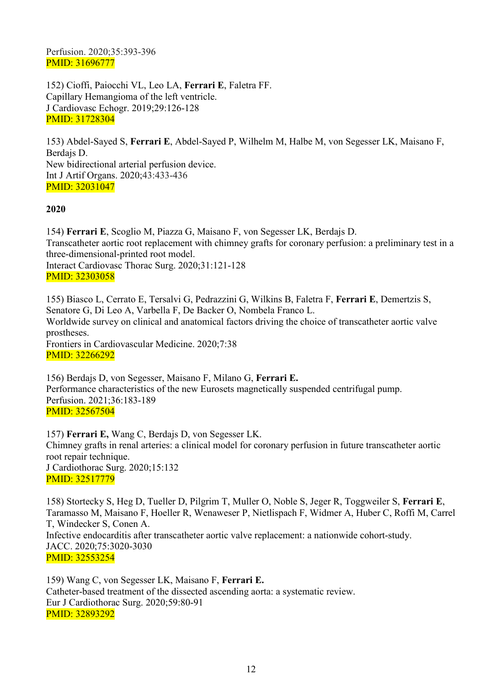Perfusion. 2020;35:393-396 PMID: 31696777

152) Cioffi, Paiocchi VL, Leo LA, **Ferrari E**, Faletra FF. Capillary Hemangioma of the left ventricle. J Cardiovasc Echogr. 2019;29:126-128 PMID: 31728304

153) Abdel-Sayed S, **Ferrari E**, Abdel-Sayed P, Wilhelm M, Halbe M, von Segesser LK, Maisano F, Berdajs D. New bidirectional arterial perfusion device. Int J Artif Organs. 2020;43:433-436 PMID: 32031047

### **2020**

154) **Ferrari E**, Scoglio M, Piazza G, Maisano F, von Segesser LK, Berdajs D. Transcatheter aortic root replacement with chimney grafts for coronary perfusion: a preliminary test in a three-dimensional-printed root model. Interact Cardiovasc Thorac Surg. 2020;31:121-128 PMID: 32303058

155) Biasco L, Cerrato E, Tersalvi G, Pedrazzini G, Wilkins B, Faletra F, **Ferrari E**, Demertzis S, Senatore G, Di Leo A, Varbella F, De Backer O, Nombela Franco L. Worldwide survey on clinical and anatomical factors driving the choice of transcatheter aortic valve prostheses. Frontiers in Cardiovascular Medicine. 2020;7:38 PMID: 32266292

156) Berdajs D, von Segesser, Maisano F, Milano G, **Ferrari E.** Performance characteristics of the new Eurosets magnetically suspended centrifugal pump. Perfusion. 2021;36:183-189 PMID: 32567504

157) **Ferrari E,** Wang C, Berdajs D, von Segesser LK. Chimney grafts in renal arteries: a clinical model for coronary perfusion in future transcatheter aortic root repair technique. J Cardiothorac Surg. 2020;15:132 PMID: 32517779

158) Stortecky S, Heg D, Tueller D, Pilgrim T, Muller O, Noble S, Jeger R, Toggweiler S, **Ferrari E**, Taramasso M, Maisano F, Hoeller R, Wenaweser P, Nietlispach F, Widmer A, Huber C, Roffi M, Carrel T, Windecker S, Conen A. Infective endocarditis after transcatheter aortic valve replacement: a nationwide cohort-study. JACC. 2020;75:3020-3030 PMID: 32553254

159) Wang C, von Segesser LK, Maisano F, **Ferrari E.** Catheter-based treatment of the dissected ascending aorta: a systematic review. Eur J Cardiothorac Surg. 2020;59:80-91 PMID: 32893292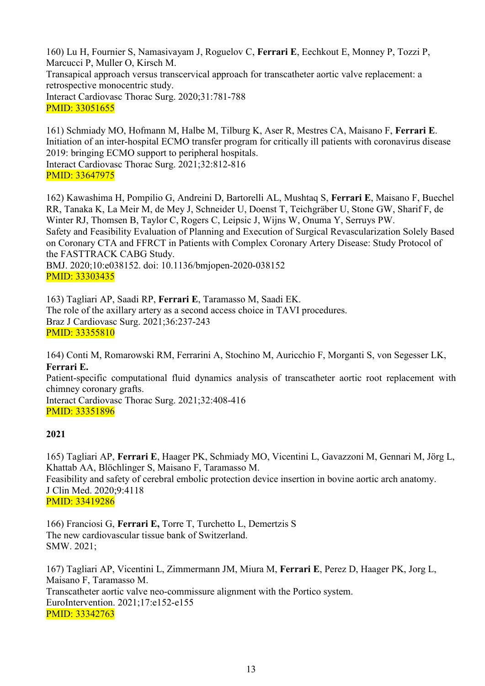160) Lu H, Fournier S, Namasivayam J, Roguelov C, **Ferrari E**, Eechkout E, Monney P, Tozzi P, Marcucci P, Muller O, Kirsch M. Transapical approach versus transcervical approach for transcatheter aortic valve replacement: a retrospective monocentric study. Interact Cardiovasc Thorac Surg. 2020;31:781-788 PMID: 33051655

161) Schmiady MO, Hofmann M, Halbe M, Tilburg K, Aser R, Mestres CA, Maisano F, **Ferrari E**. Initiation of an inter-hospital ECMO transfer program for critically ill patients with coronavirus disease 2019: bringing ECMO support to peripheral hospitals. Interact Cardiovasc Thorac Surg. 2021;32:812-816 PMID: 33647975

162) Kawashima H, Pompilio G, Andreini D, Bartorelli AL, Mushtaq S, **Ferrari E**, Maisano F, Buechel RR, Tanaka K, La Meir M, de Mey J, Schneider U, Doenst T, Teichgräber U, Stone GW, Sharif F, de Winter RJ, Thomsen B, Taylor C, Rogers C, Leipsic J, Wijns W, Onuma Y, Serruys PW. Safety and Feasibility Evaluation of Planning and Execution of Surgical Revascularization Solely Based on Coronary CTA and FFRCT in Patients with Complex Coronary Artery Disease: Study Protocol of the FASTTRACK CABG Study. BMJ. 2020;10:e038152. doi: 10.1136/bmjopen-2020-038152 PMID: 33303435

163) Tagliari AP, Saadi RP, **Ferrari E**, Taramasso M, Saadi EK. The role of the axillary artery as a second access choice in TAVI procedures. Braz J Cardiovasc Surg. 2021;36:237-243 PMID: 33355810

164) Conti M, Romarowski RM, Ferrarini A, Stochino M, Auricchio F, Morganti S, von Segesser LK, **Ferrari E.**

Patient-specific computational fluid dynamics analysis of transcatheter aortic root replacement with chimney coronary grafts.

Interact Cardiovasc Thorac Surg. 2021;32:408-416 PMID: 33351896

# **2021**

165) Tagliari AP, **Ferrari E**, Haager PK, Schmiady MO, Vicentini L, Gavazzoni M, Gennari M, Jörg L, Khattab AA, Blöchlinger S, Maisano F, Taramasso M.

Feasibility and safety of cerebral embolic protection device insertion in bovine aortic arch anatomy. J Clin Med. 2020;9:4118 PMID: 33419286

166) Franciosi G, **Ferrari E,** Torre T, Turchetto L, Demertzis S The new cardiovascular tissue bank of Switzerland. SMW. 2021;

167) Tagliari AP, Vicentini L, Zimmermann JM, Miura M, **Ferrari E**, Perez D, Haager PK, Jorg L, Maisano F, Taramasso M. Transcatheter aortic valve neo-commissure alignment with the Portico system. EuroIntervention. 2021;17:e152-e155 PMID: 33342763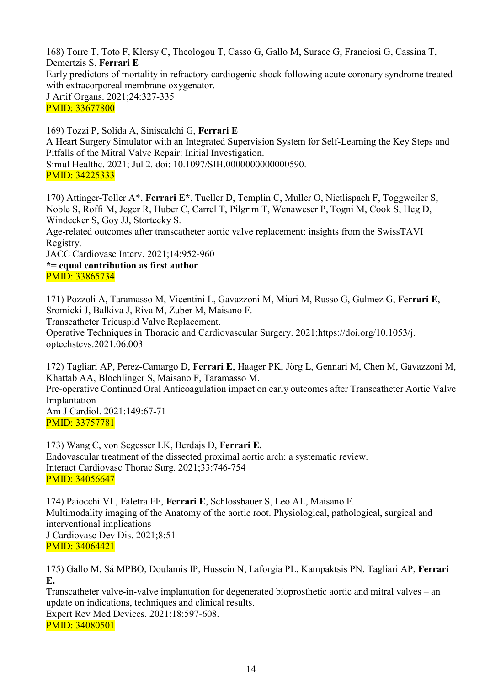168) Torre T, Toto F, Klersy C, Theologou T, Casso G, Gallo M, Surace G, Franciosi G, Cassina T, Demertzis S, **Ferrari E** Early predictors of mortality in refractory cardiogenic shock following acute coronary syndrome treated with extracorporeal membrane oxygenator. J Artif Organs. 2021;24:327-335

PMID: 33677800

169) Tozzi P, Solida A, Siniscalchi G, **Ferrari E** A Heart Surgery Simulator with an Integrated Supervision System for Self-Learning the Key Steps and Pitfalls of the Mitral Valve Repair: Initial Investigation. Simul Healthc. 2021; Jul 2. doi: 10.1097/SIH.0000000000000590. PMID: 34225333

170) Attinger-Toller A\*, **Ferrari E\***, Tueller D, Templin C, Muller O, Nietlispach F, Toggweiler S, Noble S, Roffi M, Jeger R, Huber C, Carrel T, Pilgrim T, Wenaweser P, Togni M, Cook S, Heg D, Windecker S, Goy JJ, Stortecky S.

Age-related outcomes after transcatheter aortic valve replacement: insights from the SwissTAVI Registry.

JACC Cardiovasc Interv. 2021;14:952-960

**\*= equal contribution as first author** PMID: 33865734

171) Pozzoli A, Taramasso M, Vicentini L, Gavazzoni M, Miuri M, Russo G, Gulmez G, **Ferrari E**, Sromicki J, Balkiva J, Riva M, Zuber M, Maisano F.

Transcatheter Tricuspid Valve Replacement.

Operative Techniques in Thoracic and Cardiovascular Surgery. 2021;https://doi.org/10.1053/j. optechstcvs.2021.06.003

172) Tagliari AP, Perez-Camargo D, **Ferrari E**, Haager PK, Jörg L, Gennari M, Chen M, Gavazzoni M, Khattab AA, Blöchlinger S, Maisano F, Taramasso M.

Pre-operative Continued Oral Anticoagulation impact on early outcomes after Transcatheter Aortic Valve Implantation Am J Cardiol. 2021:149:67-71

PMID: 33757781

173) Wang C, von Segesser LK, Berdajs D, **Ferrari E.** Endovascular treatment of the dissected proximal aortic arch: a systematic review. Interact Cardiovasc Thorac Surg. 2021;33:746-754 PMID: 34056647

174) Paiocchi VL, Faletra FF, **Ferrari E**, Schlossbauer S, Leo AL, Maisano F. Multimodality imaging of the Anatomy of the aortic root. Physiological, pathological, surgical and interventional implications J Cardiovasc Dev Dis. 2021;8:51 PMID: 34064421

175) Gallo M, Sá MPBO, Doulamis IP, Hussein N, Laforgia PL, Kampaktsis PN, Tagliari AP, **Ferrari E.**

Transcatheter valve-in-valve implantation for degenerated bioprosthetic aortic and mitral valves – an update on indications, techniques and clinical results.

Expert Rev Med Devices. 2021;18:597-608. PMID: 34080501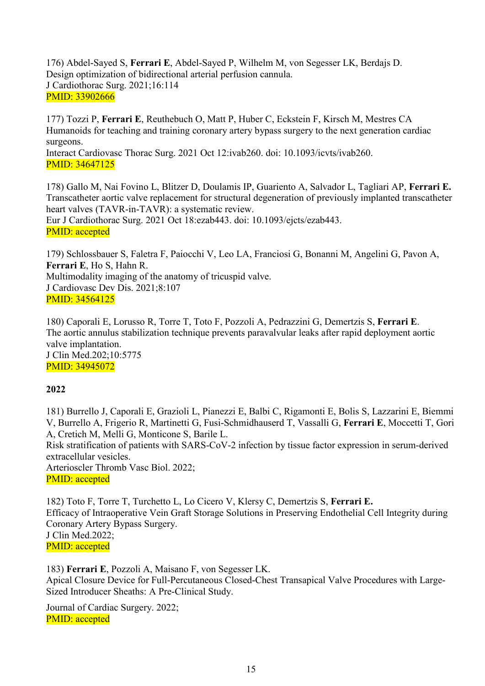176) Abdel-Sayed S, **Ferrari E**, Abdel-Sayed P, Wilhelm M, von Segesser LK, Berdajs D. Design optimization of bidirectional arterial perfusion cannula. J Cardiothorac Surg. 2021;16:114 PMID: 33902666

177) Tozzi P, **Ferrari E**, [Reuthebuch](https://pubmed.ncbi.nlm.nih.gov/?term=Reuthebuch+O&cauthor_id=12142193) O, Matt P, Huber C, Eckstein F, Kirsch M, Mestres CA Humanoids for teaching and training coronary artery bypass surgery to the next generation cardiac surgeons. Interact Cardiovasc Thorac Surg. 2021 Oct 12:ivab260. doi: 10.1093/icvts/ivab260. PMID: 34647125

178) Gallo M, Nai Fovino L, Blitzer D, Doulamis IP, Guariento A, Salvador L, Tagliari AP, **Ferrari E.** Transcatheter aortic valve replacement for structural degeneration of previously implanted transcatheter heart valves (TAVR-in-TAVR): a systematic review. Eur J Cardiothorac Surg. 2021 Oct 18:ezab443. doi: 10.1093/ejcts/ezab443. PMID: accepted

179) Schlossbauer S, Faletra F, Paiocchi V, Leo LA, Franciosi G, Bonanni M, Angelini G, Pavon A, **Ferrari E**, Ho S, Hahn R. Multimodality imaging of the anatomy of tricuspid valve. J Cardiovasc Dev Dis. 2021;8:107 PMID: 34564125

180) Caporali E, Lorusso R, Torre T, Toto F, Pozzoli A, Pedrazzini G, Demertzis S, **Ferrari E**. The aortic annulus stabilization technique prevents paravalvular leaks after rapid deployment aortic valve implantation. J Clin Med.202;10:5775 PMID: 34945072

#### **2022**

181) Burrello J, Caporali E, Grazioli L, Pianezzi E, Balbi C, Rigamonti E, Bolis S, Lazzarini E, Biemmi V, Burrello A, Frigerio R, Martinetti G, Fusi-Schmidhauserd T, Vassalli G, **Ferrari E**, Moccetti T, Gori A, Cretich M, Melli G, Monticone S, Barile L. Risk stratification of patients with SARS-CoV-2 infection by tissue factor expression in serum-derived extracellular vesicles. Arterioscler Thromb Vasc Biol. 2022; PMID: accepted

182) Toto F, Torre T, Turchetto L, Lo Cicero V, Klersy C, Demertzis S, **Ferrari E.** Efficacy of Intraoperative Vein Graft Storage Solutions in Preserving Endothelial Cell Integrity during Coronary Artery Bypass Surgery. J Clin Med.2022; PMID: accepted

183) **Ferrari E**, Pozzoli A, Maisano F, von Segesser LK. Apical Closure Device for Full-Percutaneous Closed-Chest Transapical Valve Procedures with Large-Sized Introducer Sheaths: A Pre-Clinical Study.

Journal of Cardiac Surgery. 2022; PMID: accepted